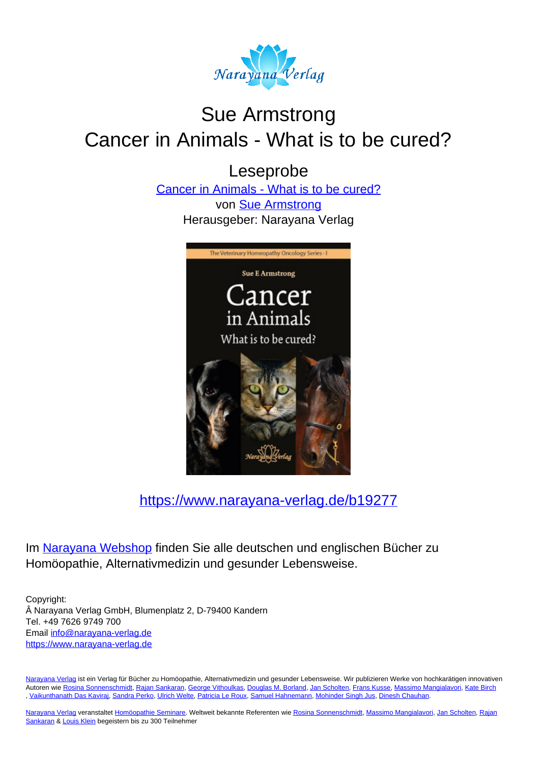

# Sue Armstrong Cancer in Animals - What is to be cured?

Leseprobe

[Cancer in Animals - What is to be cured?](https://www.narayana-verlag.de/Cancer-in-Animals-What-is-to-be-cured-Sue-Armstrong/b19277/partner/leseprobe) von [Sue Armstrong](https://www.narayana-verlag.de/Sue-Armstrong/a4486/partner/leseprobe) Herausgeber: Narayana Verlag



[https://www.narayana-verlag.de/b19277](https://www.narayana-verlag.de/Cancer-in-Animals-What-is-to-be-cured-Sue-Armstrong/b19277/partner/leseprobe)

Im Narayana Webshop finden Sie alle deutschen und englischen Bücher zu Homöopathie, Alternativmedizin und gesunder Lebensweise.

Copyright: Narayana Verlag GmbH, Blumenplatz 2, D-79400 Kandern Tel. +49 7626 9749 700 Email [info@narayana-verlag.de](mailto:info@narayana-verlag.de) https://www.narayana-verlag.de

Narayana Verlag ist ein Verlag für Bücher zu Homöopathie, Alternativmedizin und gesunder Lebensweise. Wir publizieren Werke von hochkarätigen innovativen Autoren wie Rosina Sonnenschmidt, Rajan Sankaran, George Vithoulkas, Douglas M. Borland, Jan Scholten, Frans Kusse, Massimo Mangialavori, Kate Birch , Vaikunthanath Das Kaviraj, Sandra Perko, Ulrich Welte, Patricia Le Roux, Samuel Hahnemann, Mohinder Singh Jus, Dinesh Chauhan.

Narayana Verlag veranstaltet Homöopathie Seminare. Weltweit bekannte Referenten wie Rosina Sonnenschmidt, Massimo Mangialavori, Jan Scholten, Rajan Sankaran & Louis Klein begeistern bis zu 300 Teilnehmer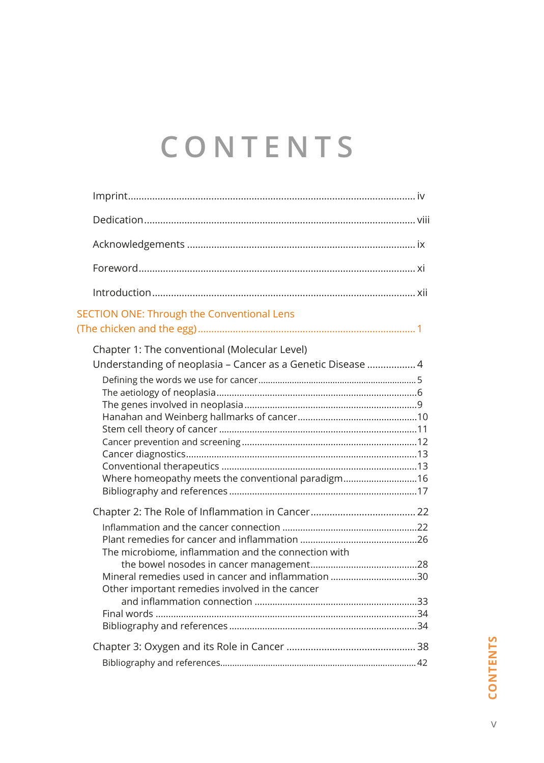# **CONTENTS**

| SECTION ONE: Through the Conventional Lens                                                                                                                         |
|--------------------------------------------------------------------------------------------------------------------------------------------------------------------|
| Chapter 1: The conventional (Molecular Level)<br>Understanding of neoplasia - Cancer as a Genetic Disease  4<br>Where homeopathy meets the conventional paradigm16 |
| The microbiome, inflammation and the connection with<br>Mineral remedies used in cancer and inflammation 30<br>Other important remedies involved in the cancer     |
|                                                                                                                                                                    |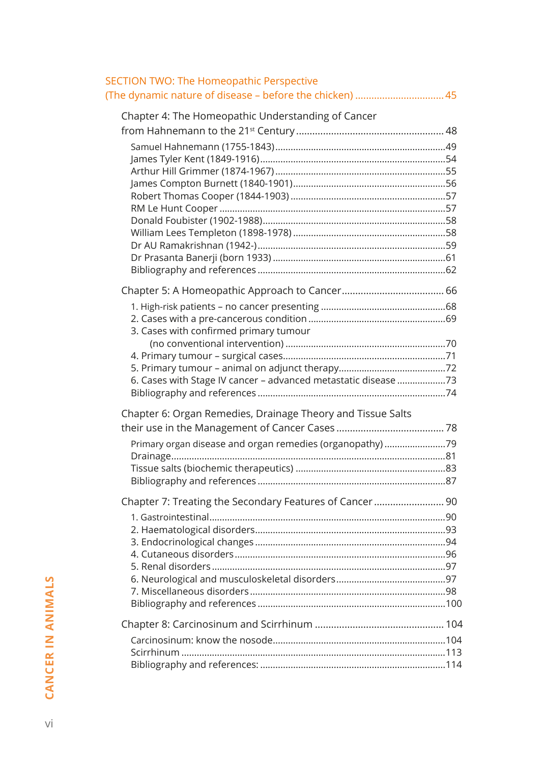| <b>SECTION TWO: The Homeopathic Perspective</b><br>(The dynamic nature of disease - before the chicken)  45              |  |
|--------------------------------------------------------------------------------------------------------------------------|--|
| Chapter 4: The Homeopathic Understanding of Cancer                                                                       |  |
| 3. Cases with confirmed primary tumour<br>6. Cases with Stage IV cancer - advanced metastatic disease 73                 |  |
| Chapter 6: Organ Remedies, Drainage Theory and Tissue Salts<br>Primary organ disease and organ remedies (organopathy) 79 |  |
| Chapter 7: Treating the Secondary Features of Cancer 90                                                                  |  |
|                                                                                                                          |  |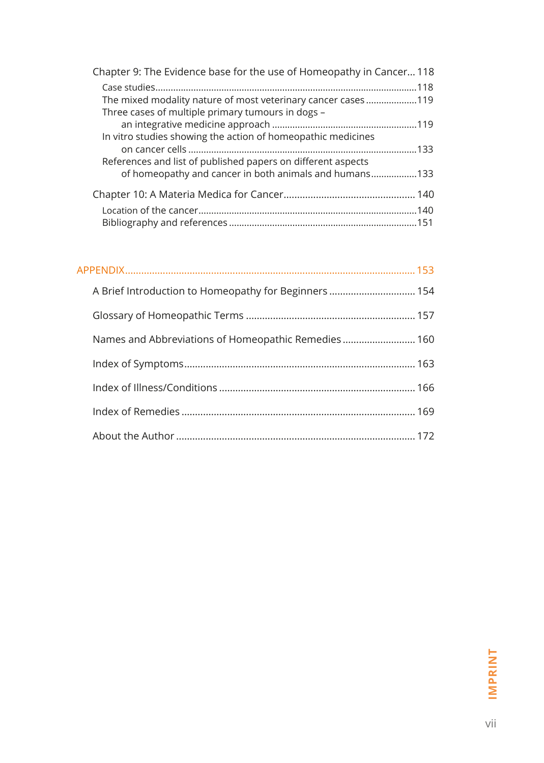| Chapter 9: The Evidence base for the use of Homeopathy in Cancer 118 |  |
|----------------------------------------------------------------------|--|
|                                                                      |  |
| The mixed modality nature of most veterinary cancer cases119         |  |
| Three cases of multiple primary tumours in dogs -                    |  |
|                                                                      |  |
| In vitro studies showing the action of homeopathic medicines         |  |
|                                                                      |  |
| References and list of published papers on different aspects         |  |
| of homeopathy and cancer in both animals and humans133               |  |
|                                                                      |  |
|                                                                      |  |
|                                                                      |  |
|                                                                      |  |

| A Brief Introduction to Homeopathy for Beginners 154 |  |
|------------------------------------------------------|--|
|                                                      |  |
| Names and Abbreviations of Homeopathic Remedies 160  |  |
|                                                      |  |
|                                                      |  |
|                                                      |  |
|                                                      |  |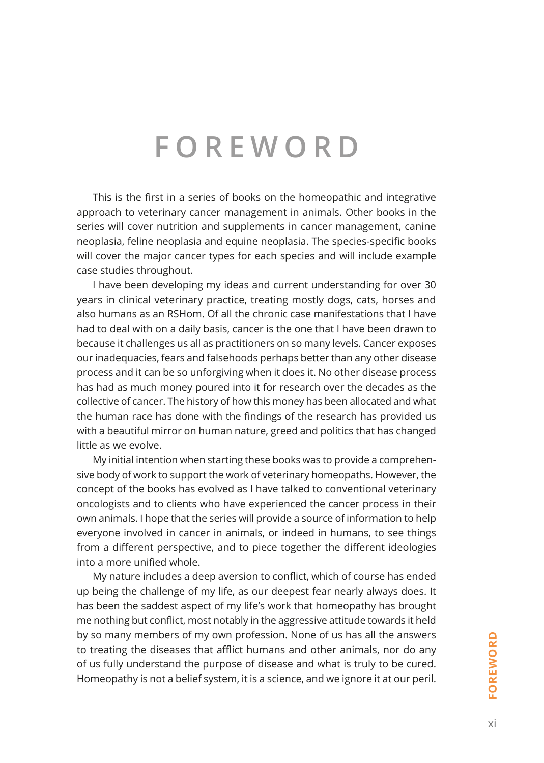# **FOREWORD**

This is the first in a series of books on the homeopathic and integrative approach to veterinary cancer management in animals. Other books in the series will cover nutrition and supplements in cancer management, canine neoplasia, feline neoplasia and equine neoplasia. The species-specific books will cover the major cancer types for each species and will include example case studies throughout.

I have been developing my ideas and current understanding for over 30 years in clinical veterinary practice, treating mostly dogs, cats, horses and also humans as an RSHom. Of all the chronic case manifestations that I have had to deal with on a daily basis, cancer is the one that I have been drawn to because it challenges us all as practitioners on so many levels. Cancer exposes our inadequacies, fears and falsehoods perhaps better than any other disease process and it can be so unforgiving when it does it. No other disease process has had as much money poured into it for research over the decades as the collective of cancer. The history of how this money has been allocated and what the human race has done with the findings of the research has provided us with a beautiful mirror on human nature, greed and politics that has changed little as we evolve.

My initial intention when starting these books was to provide a comprehensive body of work to support the work of veterinary homeopaths. However, the concept of the books has evolved as I have talked to conventional veterinary oncologists and to clients who have experienced the cancer process in their own animals. I hope that the series will provide a source of information to help everyone involved in cancer in animals, or indeed in humans, to see things from a different perspective, and to piece together the different ideologies into a more unified whole.

My nature includes a deep aversion to conflict, which of course has ended up being the challenge of my life, as our deepest fear nearly always does. It has been the saddest aspect of my life's work that homeopathy has brought me nothing but conflict, most notably in the aggressive attitude towards it held by so many members of my own profession. None of us has all the answers to treating the diseases that afflict humans and other animals, nor do any of us fully understand the purpose of disease and what is truly to be cured. Homeopathy is not a belief system, it is a science, and we ignore it at our peril.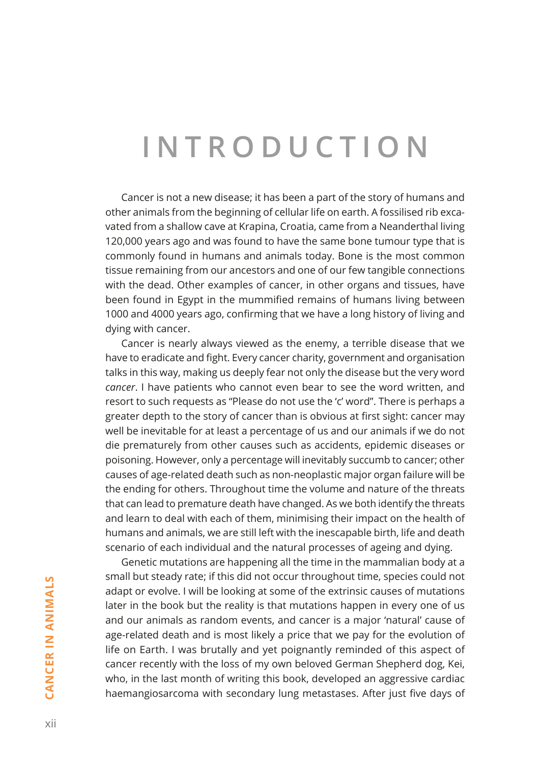# **INTRODUCTION**

Cancer is not a new disease; it has been a part of the story of humans and other animals from the beginning of cellular life on earth. A fossilised rib excavated from a shallow cave at Krapina, Croatia, came from a Neanderthal living 120,000 years ago and was found to have the same bone tumour type that is commonly found in humans and animals today. Bone is the most common tissue remaining from our ancestors and one of our few tangible connections with the dead. Other examples of cancer, in other organs and tissues, have been found in Egypt in the mummified remains of humans living between 1000 and 4000 years ago, confirming that we have a long history of living and dying with cancer.

Cancer is nearly always viewed as the enemy, a terrible disease that we have to eradicate and fight. Every cancer charity, government and organisation talks in this way, making us deeply fear not only the disease but the very word *cancer*. I have patients who cannot even bear to see the word written, and resort to such requests as "Please do not use the 'c' word". There is perhaps a greater depth to the story of cancer than is obvious at first sight: cancer may well be inevitable for at least a percentage of us and our animals if we do not die prematurely from other causes such as accidents, epidemic diseases or poisoning. However, only a percentage will inevitably succumb to cancer; other causes of age-related death such as non-neoplastic major organ failure will be the ending for others. Throughout time the volume and nature of the threats that can lead to premature death have changed. As we both identify the threats and learn to deal with each of them, minimising their impact on the health of humans and animals, we are still left with the inescapable birth, life and death scenario of each individual and the natural processes of ageing and dying.

Genetic mutations are happening all the time in the mammalian body at a small but steady rate; if this did not occur throughout time, species could not adapt or evolve. I will be looking at some of the extrinsic causes of mutations later in the book but the reality is that mutations happen in every one of us and our animals as random events, and cancer is a major 'natural' cause of age-related death and is most likely a price that we pay for the evolution of life on Earth. I was brutally and yet poignantly reminded of this aspect of cancer recently with the loss of my own beloved German Shepherd dog, Kei, who, in the last month of writing this book, developed an aggressive cardiac haemangiosarcoma with secondary lung metastases. After just five days of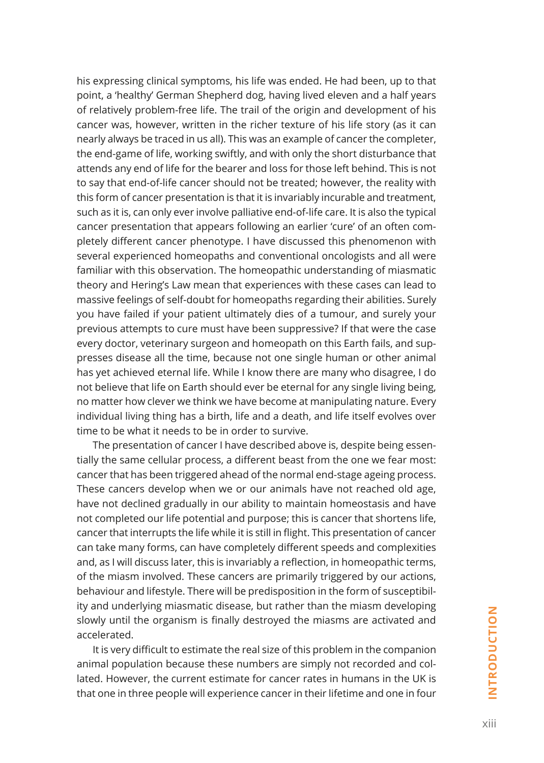his expressing clinical symptoms, his life was ended. He had been, up to that point, a 'healthy' German Shepherd dog, having lived eleven and a half years of relatively problem-free life. The trail of the origin and development of his cancer was, however, written in the richer texture of his life story (as it can nearly always be traced in us all). This was an example of cancer the completer, the end-game of life, working swiftly, and with only the short disturbance that attends any end of life for the bearer and loss for those left behind. This is not to say that end-of-life cancer should not be treated; however, the reality with this form of cancer presentation is that it is invariably incurable and treatment, such as it is, can only ever involve palliative end-of-life care. It is also the typical cancer presentation that appears following an earlier 'cure' of an often completely different cancer phenotype. I have discussed this phenomenon with several experienced homeopaths and conventional oncologists and all were familiar with this observation. The homeopathic understanding of miasmatic theory and Hering's Law mean that experiences with these cases can lead to massive feelings of self-doubt for homeopaths regarding their abilities. Surely you have failed if your patient ultimately dies of a tumour, and surely your previous attempts to cure must have been suppressive? If that were the case every doctor, veterinary surgeon and homeopath on this Earth fails, and suppresses disease all the time, because not one single human or other animal has yet achieved eternal life. While I know there are many who disagree, I do not believe that life on Earth should ever be eternal for any single living being, no matter how clever we think we have become at manipulating nature. Every individual living thing has a birth, life and a death, and life itself evolves over time to be what it needs to be in order to survive.

The presentation of cancer I have described above is, despite being essentially the same cellular process, a different beast from the one we fear most: cancer that has been triggered ahead of the normal end-stage ageing process. These cancers develop when we or our animals have not reached old age, have not declined gradually in our ability to maintain homeostasis and have not completed our life potential and purpose; this is cancer that shortens life, cancer that interrupts the life while it is still in flight. This presentation of cancer can take many forms, can have completely different speeds and complexities and, as I will discuss later, this is invariably a reflection, in homeopathic terms, of the miasm involved. These cancers are primarily triggered by our actions, behaviour and lifestyle. There will be predisposition in the form of susceptibility and underlying miasmatic disease, but rather than the miasm developing slowly until the organism is finally destroyed the miasms are activated and accelerated.

It is very difficult to estimate the real size of this problem in the companion animal population because these numbers are simply not recorded and collated. However, the current estimate for cancer rates in humans in the UK is that one in three people will experience cancer in their lifetime and one in four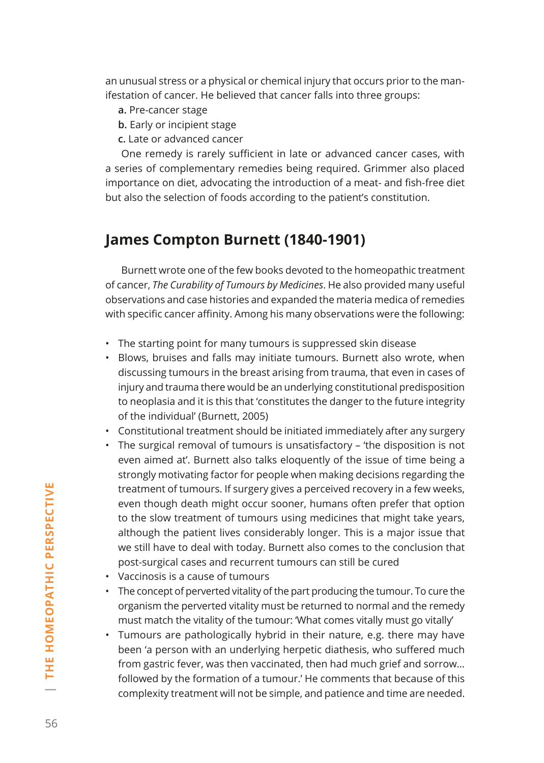an unusual stress or a physical or chemical injury that occurs prior to the manifestation of cancer. He believed that cancer falls into three groups:

- **a.** Pre-cancer stage
- **b.** Early or incipient stage
- **c.** Late or advanced cancer

One remedy is rarely sufficient in late or advanced cancer cases, with a series of complementary remedies being required. Grimmer also placed importance on diet, advocating the introduction of a meat- and fish-free diet but also the selection of foods according to the patient's constitution.

## **James Compton Burnett (1840‑1901)**

Burnett wrote one of the few books devoted to the homeopathic treatment of cancer, *The Curability of Tumours by Medicines*. He also provided many useful observations and case histories and expanded the materia medica of remedies with specific cancer affinity. Among his many observations were the following:

- The starting point for many tumours is suppressed skin disease
- Blows, bruises and falls may initiate tumours. Burnett also wrote, when discussing tumours in the breast arising from trauma, that even in cases of injury and trauma there would be an underlying constitutional predisposition to neoplasia and it is this that 'constitutes the danger to the future integrity of the individual' (Burnett, 2005)
- Constitutional treatment should be initiated immediately after any surgery
- The surgical removal of tumours is unsatisfactory 'the disposition is not even aimed at'. Burnett also talks eloquently of the issue of time being a strongly motivating factor for people when making decisions regarding the treatment of tumours. If surgery gives a perceived recovery in a few weeks, even though death might occur sooner, humans often prefer that option to the slow treatment of tumours using medicines that might take years, although the patient lives considerably longer. This is a major issue that we still have to deal with today. Burnett also comes to the conclusion that post-surgical cases and recurrent tumours can still be cured
- Vaccinosis is a cause of tumours
- The concept of perverted vitality of the part producing the tumour. To cure the organism the perverted vitality must be returned to normal and the remedy must match the vitality of the tumour: 'What comes vitally must go vitally'
- Tumours are pathologically hybrid in their nature, e.g. there may have been 'a person with an underlying herpetic diathesis, who suffered much from gastric fever, was then vaccinated, then had much grief and sorrow… followed by the formation of a tumour.' He comments that because of this complexity treatment will not be simple, and patience and time are needed.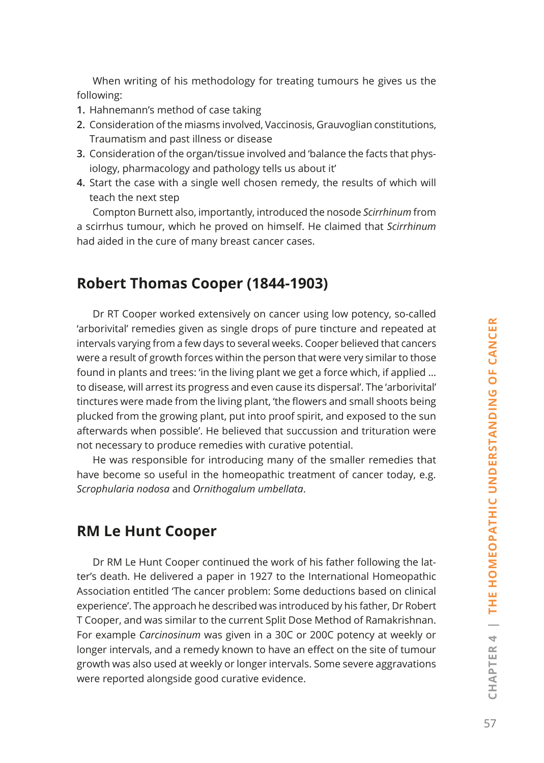When writing of his methodology for treating tumours he gives us the following:

- **1.** Hahnemann's method of case taking
- **2.** Consideration of the miasms involved, Vaccinosis, Grauvoglian constitutions, Traumatism and past illness or disease
- **3.** Consideration of the organ/tissue involved and 'balance the facts that physiology, pharmacology and pathology tells us about it'
- **4.** Start the case with a single well chosen remedy, the results of which will teach the next step

Compton Burnett also, importantly, introduced the nosode *Scirrhinum* from a scirrhus tumour, which he proved on himself. He claimed that *Scirrhinum* had aided in the cure of many breast cancer cases.

### **Robert Thomas Cooper (1844‑1903)**

Dr RT Cooper worked extensively on cancer using low potency, so-called 'arborivital' remedies given as single drops of pure tincture and repeated at intervals varying from a few days to several weeks. Cooper believed that cancers were a result of growth forces within the person that were very similar to those found in plants and trees: 'in the living plant we get a force which, if applied … to disease, will arrest its progress and even cause its dispersal'. The 'arborivital' tinctures were made from the living plant, 'the flowers and small shoots being plucked from the growing plant, put into proof spirit, and exposed to the sun afterwards when possible'. He believed that succussion and trituration were not necessary to produce remedies with curative potential.

He was responsible for introducing many of the smaller remedies that have become so useful in the homeopathic treatment of cancer today, e.g. *Scrophularia nodosa* and *Ornithogalum umbellata*.

#### **RM Le Hunt Cooper**

Dr RM Le Hunt Cooper continued the work of his father following the latter's death. He delivered a paper in 1927 to the International Homeopathic Association entitled 'The cancer problem: Some deductions based on clinical experience'. The approach he described was introduced by his father, Dr Robert T Cooper, and was similar to the current Split Dose Method of Ramakrishnan. For example *Carcinosinum* was given in a 30C or 200C potency at weekly or longer intervals, and a remedy known to have an effect on the site of tumour growth was also used at weekly or longer intervals. Some severe aggravations were reported alongside good curative evidence.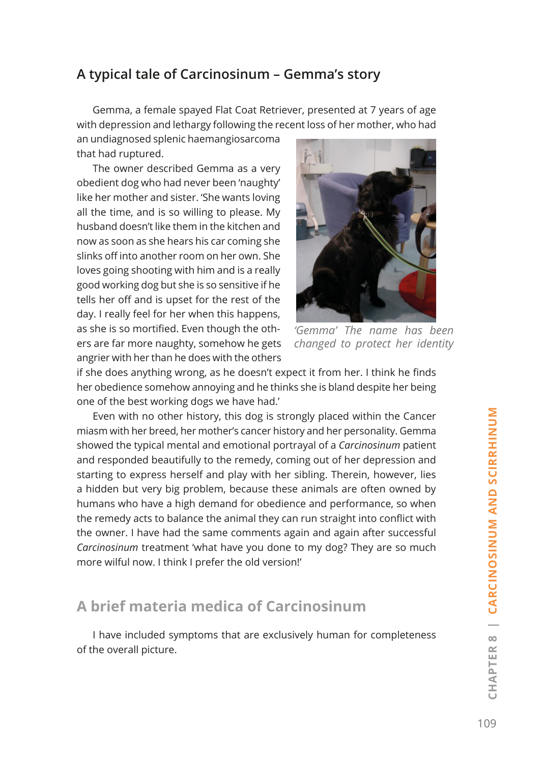#### **A typical tale of Carcinosinum – Gemma's story**

Gemma, a female spayed Flat Coat Retriever, presented at 7 years of age with depression and lethargy following the recent loss of her mother, who had

an undiagnosed splenic haemangiosarcoma that had ruptured.

The owner described Gemma as a very obedient dog who had never been 'naughty' like her mother and sister. 'She wants loving all the time, and is so willing to please. My husband doesn't like them in the kitchen and now as soon as she hears his car coming she slinks off into another room on her own. She loves going shooting with him and is a really good working dog but she is so sensitive if he tells her off and is upset for the rest of the day. I really feel for her when this happens, as she is so mortified. Even though the others are far more naughty, somehow he gets angrier with her than he does with the others



*'Gemma' The name has been changed to protect her identity*

if she does anything wrong, as he doesn't expect it from her. I think he finds her obedience somehow annoying and he thinks she is bland despite her being one of the best working dogs we have had.'

Even with no other history, this dog is strongly placed within the Cancer miasm with her breed, her mother's cancer history and her personality. Gemma showed the typical mental and emotional portrayal of a *Carcinosinum* patient and responded beautifully to the remedy, coming out of her depression and starting to express herself and play with her sibling. Therein, however, lies a hidden but very big problem, because these animals are often owned by humans who have a high demand for obedience and performance, so when the remedy acts to balance the animal they can run straight into conflict with the owner. I have had the same comments again and again after successful *Carcinosinum* treatment 'what have you done to my dog? They are so much more wilful now. I think I prefer the old version!'

#### **A brief materia medica of Carcinosinum**

I have included symptoms that are exclusively human for completeness of the overall picture.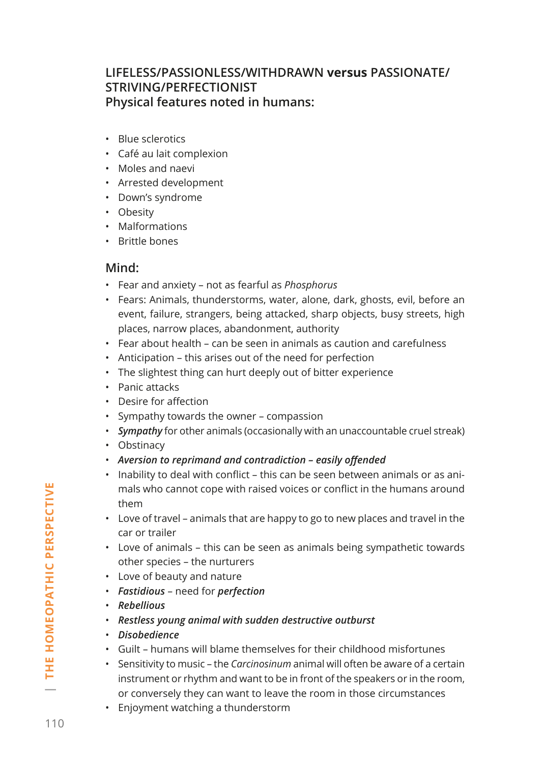#### **LIFELESS/PASSIONLESS/WITHDRAWN versus PASSIONATE/ STRIVING/PERFECTIONIST Physical features noted in humans:**

- Blue sclerotics
- Café au lait complexion
- Moles and naevi
- Arrested development
- Down's syndrome
- Obesity
- Malformations
- Brittle bones

#### **Mind:**

- Fear and anxiety not as fearful as *Phosphorus*
- Fears: Animals, thunderstorms, water, alone, dark, ghosts, evil, before an event, failure, strangers, being attacked, sharp objects, busy streets, high places, narrow places, abandonment, authority
- Fear about health can be seen in animals as caution and carefulness
- Anticipation this arises out of the need for perfection
- The slightest thing can hurt deeply out of bitter experience
- Panic attacks
- Desire for affection
- Sympathy towards the owner compassion
- *Sympathy* for other animals (occasionally with an unaccountable cruel streak)
- Obstinacy
- *Aversion to reprimand and contradiction easily offended*
- Inability to deal with conflict this can be seen between animals or as animals who cannot cope with raised voices or conflict in the humans around them
- Love of travel animals that are happy to go to new places and travel in the car or trailer
- Love of animals this can be seen as animals being sympathetic towards other species – the nurturers
- Love of beauty and nature
- *Fastidious* need for *perfection*
- *Rebellious*
- *Restless young animal with sudden destructive outburst*
- *Disobedience*
- Guilt humans will blame themselves for their childhood misfortunes
- Sensitivity to music the *Carcinosinum* animal will often be aware of a certain instrument or rhythm and want to be in front of the speakers or in the room, or conversely they can want to leave the room in those circumstances
- Enjoyment watching a thunderstorm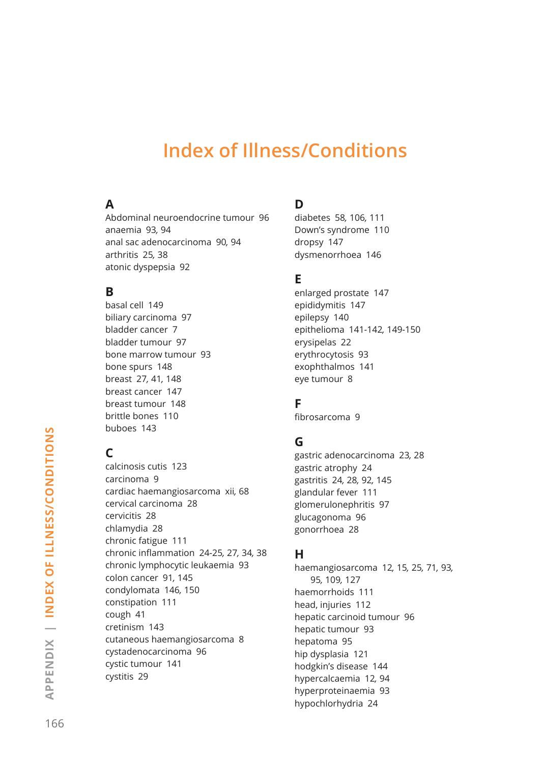# **Index of Illness/Conditions**

#### **A**

Abdominal neuroendocrine tumour 96 anaemia 93*,* 94 anal sac adenocarcinoma 90*,* 94 arthritis 25*,* 38 atonic dyspepsia 92

#### **B**

basal cell 149 biliary carcinoma 97 bladder cancer 7 bladder tumour 97 bone marrow tumour 93 bone spurs 148 breast 27*,* 41*,* 148 breast cancer 147 breast tumour 148 brittle bones 110 buboes 143

### **C**

calcinosis cutis 123 carcinoma 9 cardiac haemangiosarcoma xii*,* 68 cervical carcinoma 28 cervicitis 28 chlamydia 28 chronic fatigue 111 chronic inflammation 24*-*25*,* 27*,* 34*,* 38 chronic lymphocytic leukaemia 93 colon cancer 91*,* 145 condylomata 146*,* 150 constipation 111 cough 41 cretinism 143 cutaneous haemangiosarcoma 8 cystadenocarcinoma 96 cystic tumour 141 cystitis 29

#### **D**

diabetes 58*,* 106*,* 111 Down's syndrome 110 dropsy 147 dysmenorrhoea 146

#### **E**

enlarged prostate 147 epididymitis 147 epilepsy 140 epithelioma 141*-*142*,* 149*-*150 erysipelas 22 erythrocytosis 93 exophthalmos 141 eye tumour 8

#### **F**

fibrosarcoma 9

#### **G**

gastric adenocarcinoma 23*,* 28 gastric atrophy 24 gastritis 24*,* 28*,* 92*,* 145 glandular fever 111 glomerulonephritis 97 glucagonoma 96 gonorrhoea 28

#### **H**

haemangiosarcoma 12*,* 15*,* 25*,* 71*,* 93*,*  95*,* 109*,* 127 haemorrhoids 111 head, injuries 112 hepatic carcinoid tumour 96 hepatic tumour 93 hepatoma 95 hip dysplasia 121 hodgkin's disease 144 hypercalcaemia 12*,* 94 hyperproteinaemia 93 hypochlorhydria 24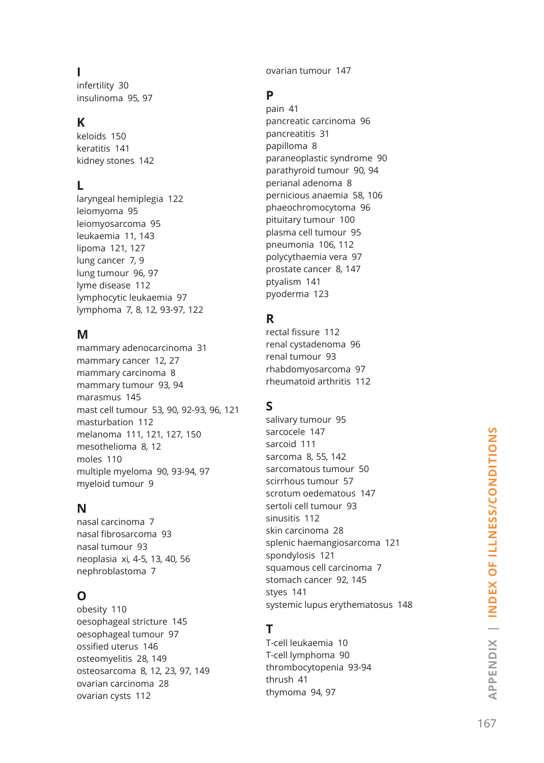#### **I**

infertility 30 insulinoma 95*,* 97

#### **K**

keloids 150 keratitis 141 kidney stones 142

#### **L**

laryngeal hemiplegia 122 leiomyoma 95 leiomyosarcoma 95 leukaemia 11*,* 143 lipoma 121*,* 127 lung cancer 7*,* 9 lung tumour 96*,* 97 lyme disease 112 lymphocytic leukaemia 97 lymphoma 7*,* 8*,* 12*,* 93*-*97*,* 122

#### **M**

mammary adenocarcinoma 31 mammary cancer 12*,* 27 mammary carcinoma 8 mammary tumour 93*,* 94 marasmus 145 mast cell tumour 53*,* 90*,* 92*-*93*,* 96*,* 121 masturbation 112 melanoma 111*,* 121*,* 127*,* 150 mesothelioma 8*,* 12 moles 110 multiple myeloma 90*,* 93*-*94*,* 97 myeloid tumour 9

#### **N**

nasal carcinoma 7 nasal fibrosarcoma 93 nasal tumour 93 neoplasia xi*,* 4*-*5*,* 13*,* 40*,* 56 nephroblastoma 7

### **O**

obesity 110 oesophageal stricture 145 oesophageal tumour 97 ossified uterus 146 osteomyelitis 28*,* 149 osteosarcoma 8*,* 12*,* 23*,* 97*,* 149 ovarian carcinoma 28 ovarian cysts 112

ovarian tumour 147

#### **P**

pain 41 pancreatic carcinoma 96 pancreatitis 31 papilloma 8 paraneoplastic syndrome 90 parathyroid tumour 90*,* 94 perianal adenoma 8 pernicious anaemia 58*,* 106 phaeochromocytoma 96 pituitary tumour 100 plasma cell tumour 95 pneumonia 106*,* 112 polycythaemia vera 97 prostate cancer 8*,* 147 ptyalism 141 pyoderma 123

#### **R**

rectal fissure 112 renal cystadenoma 96 renal tumour 93 rhabdomyosarcoma 97 rheumatoid arthritis 112

#### **S**

salivary tumour 95 sarcocele 147 sarcoid 111 sarcoma 8*,* 55*,* 142 sarcomatous tumour 50 scirrhous tumour 57 scrotum oedematous 147 sertoli cell tumour 93 sinusitis 112 skin carcinoma 28 splenic haemangiosarcoma 121 spondylosis 121 squamous cell carcinoma 7 stomach cancer 92*,* 145 styes 141 systemic lupus erythematosus 148

#### **T**

T-cell leukaemia 10 T-cell lymphoma 90 thrombocytopenia 93*-*94 thrush 41 thymoma 94*,* 97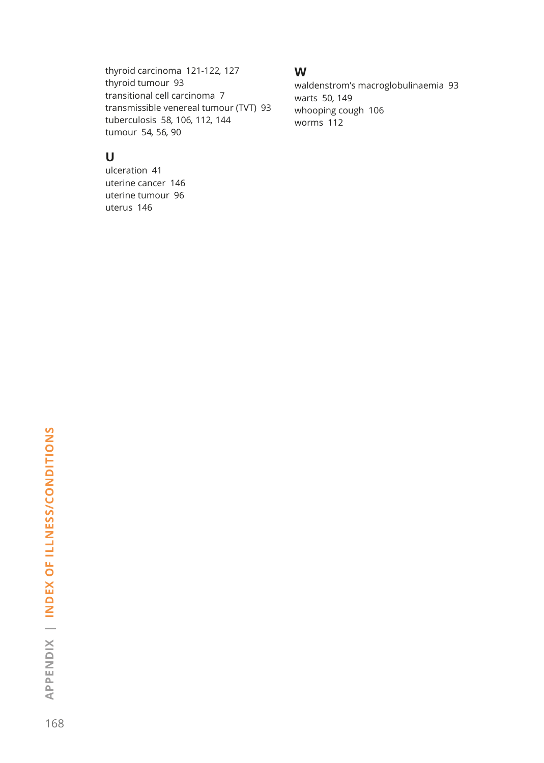thyroid carcinoma 121*-*122*,* 127 thyroid tumour 93 transitional cell carcinoma 7 transmissible venereal tumour (TVT) 93 tuberculosis 58*,* 106*,* 112*,* 144 tumour 54*,* 56*,* 90

#### **U**

ulceration 41 uterine cancer 146 uterine tumour 96 uterus 146

#### **W**

waldenstrom's macroglobulinaemia 93 warts 50*,* 149 whooping cough 106 worms 112